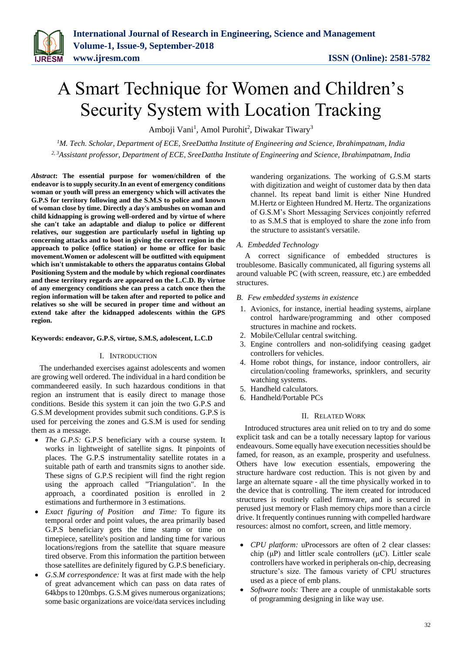# A Smart Technique for Women and Children's Security System with Location Tracking

Amboji Vani<sup>1</sup>, Amol Purohit<sup>2</sup>, Diwakar Tiwary<sup>3</sup>

*<sup>1</sup>M. Tech. Scholar, Department of ECE, SreeDattha Institute of Engineering and Science, Ibrahimpatnam, India 2, 3Assistant professor, Department of ECE, SreeDattha Institute of Engineering and Science, Ibrahimpatnam, India*

*Abstract***: The essential purpose for women/children of the endeavor is to supply security.In an event of emergency conditions woman or youth will press an emergency which will activates the G.P.S for territory following and the S.M.S to police and known of woman close by time. Directly a day's ambushes on woman and child kidnapping is growing well-ordered and by virtue of where she can't take an adaptable and dialup to police or different relatives, our suggestion are particularly useful in lighting up concerning attacks and to boot in giving the correct region in the approach to police {office station} or home or office for basic movement.Women or adolescent will be outfitted with equipment which isn't unmistakable to others the apparatus contains Global Positioning System and the module by which regional coordinates and these territory regards are appeared on the L.C.D. By virtue of any emergency conditions she can press a catch once then the region information will be taken after and reported to police and relatives so she will be secured in proper time and without an extend take after the kidnapped adolescents within the GPS region.**

### **Keywords: endeavor, G.P.S, virtue, S.M.S, adolescent, L.C.D**

### I. INTRODUCTION

The underhanded exercises against adolescents and women are growing well ordered. The individual in a hard condition be commandeered easily. In such hazardous conditions in that region an instrument that is easily direct to manage those conditions. Beside this system it can join the two G.P.S and G.S.M development provides submit such conditions. G.P.S is used for perceiving the zones and G.S.M is used for sending them as a message.

- *The G.P.S:* G.P.S beneficiary with a course system. It works in lightweight of satellite signs. It pinpoints of places. The G.P.S instrumentality satellite rotates in a suitable path of earth and transmits signs to another side. These signs of G.P.S recipient will find the right region using the approach called "Triangulation". In the approach, a coordinated position is enrolled in 2 estimations and furthermore in 3 estimations.
- *Exact figuring of Position and Time:* To figure its temporal order and point values, the area primarily based G.P.S beneficiary gets the time stamp or time on timepiece, satellite's position and landing time for various locations/regions from the satellite that square measure tired observe. From this information the partition between those satellites are definitely figured by G.P.S beneficiary.
- *G.S.M correspondence:* It was at first made with the help of great advancement which can pass on data rates of 64kbps to 120mbps. G.S.M gives numerous organizations; some basic organizations are voice/data services including

wandering organizations. The working of G.S.M starts with digitization and weight of customer data by then data channel. Its repeat band limit is either Nine Hundred M.Hertz or Eighteen Hundred M. Hertz. The organizations of G.S.M's Short Messaging Services conjointly referred to as S.M.S that is employed to share the zone info from the structure to assistant's versatile.

# *A. Embedded Technology*

A correct significance of embedded structures is troublesome. Basically communicated, all figuring systems all around valuable PC (with screen, reassure, etc.) are embedded structures.

#### *B. Few embedded systems in existence*

- 1. Avionics, for instance, inertial heading systems, airplane control hardware/programming and other composed structures in machine and rockets.
- 2. Mobile/Cellular central switching.
- 3. Engine controllers and non-solidifying ceasing gadget controllers for vehicles.
- 4. Home robot things, for instance, indoor controllers, air circulation/cooling frameworks, sprinklers, and security watching systems.
- 5. Handheld calculators.
- 6. Handheld/Portable PCs

#### II. RELATED WORK

Introduced structures area unit relied on to try and do some explicit task and can be a totally necessary laptop for various endeavours. Some equally have execution necessities should be famed, for reason, as an example, prosperity and usefulness. Others have low execution essentials, empowering the structure hardware cost reduction. This is not given by and large an alternate square - all the time physically worked in to the device that is controlling. The item created for introduced structures is routinely called firmware, and is secured in perused just memory or Flash memory chips more than a circle drive. It frequently continues running with compelled hardware resources: almost no comfort, screen, and little memory.

- *CPU platform:* uProcessors are often of 2 clear classes: chip (μP) and littler scale controllers (μC). Littler scale controllers have worked in peripherals on-chip, decreasing structure's size. The famous variety of CPU structures used as a piece of emb plans.
- *Software tools:* There are a couple of unmistakable sorts of programming designing in like way use.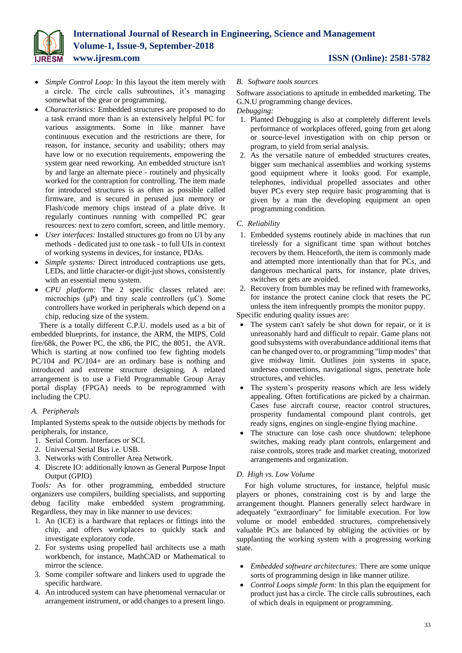

- *Simple Control Loop:* In this layout the item merely with a circle. The circle calls subroutines, it's managing somewhat of the gear or programming.
- *Characteristics:* Embedded structures are proposed to do a task errand more than is an extensively helpful PC for various assignments. Some in like manner have continuous execution and the restrictions are there, for reason, for instance, security and usability; others may have low or no execution requirements, empowering the system gear need reworking. An embedded structure isn't by and large an alternate piece - routinely and physically worked for the contraption for controlling. The item made for introduced structures is as often as possible called firmware, and is secured in perused just memory or Flash/code memory chips instead of a plate drive. It regularly continues running with compelled PC gear resources: next to zero comfort, screen, and little memory.
- *User interfaces:* Installed structures go from no UI by any methods - dedicated just to one task - to full UIs in context of working systems in devices, for instance, PDAs.
- *Simple systems:* Direct introduced contraptions use gets, LEDs, and little character-or digit-just shows, consistently with an essential menu system.
- *CPU platform:* The 2 specific classes related are: microchips (μP) and tiny scale controllers (μC). Some controllers have worked in peripherals which depend on a chip, reducing size of the system.

There is a totally different C.P.U. models used as a bit of embedded blueprints, for instance, the ARM, the MIPS, Cold fire/68k, the Power PC, the x86, the PIC, the 8051, the AVR. Which is starting at now confined too few fighting models PC/104 and PC/104+ are an ordinary base is nothing and introduced and extreme structure designing. A related arrangement is to use a Field Programmable Group Array portal display (FPGA) needs to be reprogrammed with including the CPU.

# *A. Peripherals*

Implanted Systems speak to the outside objects by methods for peripherals, for instance,

- 1. Serial Comm. Interfaces or SCI.
- 2. Universal Serial Bus i.e. USB.
- 3. Networks with Controller Area Network.
- 4. Discrete IO: additionally known as General Purpose Input Output (GPIO)

*Tools:* As for other programming, embedded structure organizers use compilers, building specialists, and supporting debug facility make embedded system programming. Regardless, they may in like manner to use devices:

- 1. An (ICE) is a hardware that replaces or fittings into the chip, and offers workplaces to quickly stack and investigate exploratory code.
- 2. For systems using propelled hail architects use a math workbench, for instance, MathCAD or Mathematical to mirror the science.
- 3. Some compiler software and linkers used to upgrade the specific hardware.
- 4. An introduced system can have phenomenal vernacular or arrangement instrument, or add changes to a present lingo.

# *B. Software tools sources*

Software associations to aptitude in embedded marketing. The G.N.U programming change devices.

# *Debugging:*

- 1. Planted Debugging is also at completely different levels performance of workplaces offered, going from get along or source-level investigation with on chip person or program, to yield from serial analysis.
- 2. As the versatile nature of embedded structures creates, bigger sum mechanical assemblies and working systems good equipment where it looks good. For example, telephones, individual propelled associates and other buyer PCs every step require basic programming that is given by a man the developing equipment an open programming condition.

# *C. Reliability*

- 1. Embedded systems routinely abide in machines that run tirelessly for a significant time span without botches recovers by them. Henceforth, the item is commonly made and attempted more intentionally than that for PCs, and dangerous mechanical parts, for instance, plate drives, switches or gets are avoided.
- 2. Recovery from bumbles may be refined with frameworks, for instance the protect canine clock that resets the PC unless the item infrequently prompts the monitor puppy.

Specific enduring quality issues are:

- The system can't safely be shut down for repair, or it is unreasonably hard and difficult to repair. Game plans not good subsystems with overabundance additional items that can be changed over to, or programming "limp modes" that give midway limit. Outlines join systems in space, undersea connections, navigational signs, penetrate hole structures, and vehicles.
- The system's prosperity reasons which are less widely appealing. Often fortifications are picked by a chairman. Cases fuse aircraft course, reactor control structures, prosperity fundamental compound plant controls, get ready signs, engines on single-engine flying machine.
- The structure can lose cash once shutdown: telephone switches, making ready plant controls, enlargement and raise controls, stores trade and market creating, motorized arrangements and organization.

# *D. High vs. Low Volume*

For high volume structures, for instance, helpful music players or phones, constraining cost is by and large the arrangement thought. Planners generally select hardware in adequately "extraordinary" for limitable execution. For low volume or model embedded structures, comprehensively valuable PCs are balanced by obliging the activities or by supplanting the working system with a progressing working state.

- *Embedded software architectures:* There are some unique sorts of programming design in like manner utilize.
- *Control Loops simple form:* In this plan the equipment for product just has a circle. The circle calls subroutines, each of which deals in equipment or programming.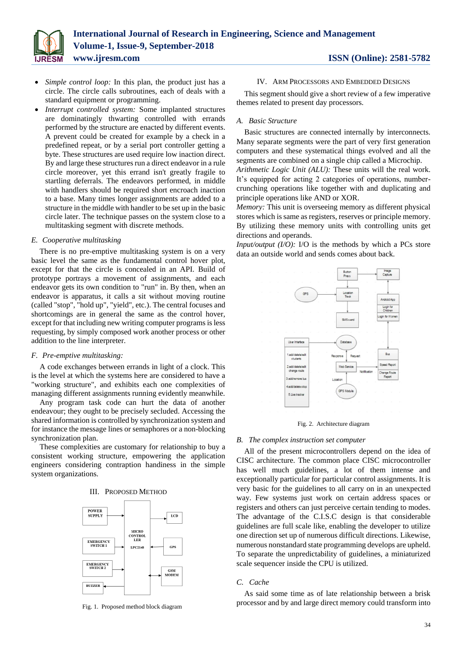

- *Simple control loop:* In this plan, the product just has a circle. The circle calls subroutines, each of deals with a standard equipment or programming.
- *Interrupt controlled system:* Some implanted structures are dominatingly thwarting controlled with errands performed by the structure are enacted by different events. A prevent could be created for example by a check in a predefined repeat, or by a serial port controller getting a byte. These structures are used require low inaction direct. By and large these structures run a direct endeavor in a rule circle moreover, yet this errand isn't greatly fragile to startling deferrals. The endeavors performed, in middle with handlers should be required short encroach inaction to a base. Many times longer assignments are added to a structure in the middle with handler to be set up in the basic circle later. The technique passes on the system close to a multitasking segment with discrete methods.

#### *E. Cooperative multitasking*

There is no pre-emptive multitasking system is on a very basic level the same as the fundamental control hover plot, except for that the circle is concealed in an API. Build of prototype portrays a movement of assignments, and each endeavor gets its own condition to "run" in. By then, when an endeavor is apparatus, it calls a sit without moving routine (called "stop", "hold up", "yield", etc.). The central focuses and shortcomings are in general the same as the control hover, except for that including new writing computer programs is less requesting, by simply composed work another process or other addition to the line interpreter.

#### *F. Pre-emptive multitasking:*

A code exchanges between errands in light of a clock. This is the level at which the systems here are considered to have a "working structure", and exhibits each one complexities of managing different assignments running evidently meanwhile.

Any program task code can hurt the data of another endeavour; they ought to be precisely secluded. Accessing the shared information is controlled by synchronization system and for instance the message lines or semaphores or a non-blocking synchronization plan.

These complexities are customary for relationship to buy a consistent working structure, empowering the application engineers considering contraption handiness in the simple system organizations.

#### III. PROPOSED METHOD



Fig. 1. Proposed method block diagram

#### IV. ARM PROCESSORS AND EMBEDDED DESIGNS

This segment should give a short review of a few imperative themes related to present day processors.

#### *A. Basic Structure*

Basic structures are connected internally by interconnects. Many separate segments were the part of very first generation computers and these systematical things evolved and all the segments are combined on a single chip called a Microchip. *Arithmetic Logic Unit (ALU):* These units will the real work. It's equipped for acting 2 categories of operations, numbercrunching operations like together with and duplicating and principle operations like AND or XOR.

*Memory:* This unit is overseeing memory as different physical stores which is same as registers, reserves or principle memory. By utilizing these memory units with controlling units get directions and operands.

*Input/output (I/O): I/O is the methods by which a PCs store* data an outside world and sends comes about back.



Fig. 2. Architecture diagram

#### *B. The complex instruction set computer*

All of the present microcontrollers depend on the idea of CISC architecture. The common place CISC microcontroller has well much guidelines, a lot of them intense and exceptionally particular for particular control assignments. It is very basic for the guidelines to all carry on in an unexpected way. Few systems just work on certain address spaces or registers and others can just perceive certain tending to modes. The advantage of the C.I.S.C design is that considerable guidelines are full scale like, enabling the developer to utilize one direction set up of numerous difficult directions. Likewise, numerous nonstandard state programming develops are upheld. To separate the unpredictability of guidelines, a miniaturized scale sequencer inside the CPU is utilized.

### *C. Cache*

As said some time as of late relationship between a brisk processor and by and large direct memory could transform into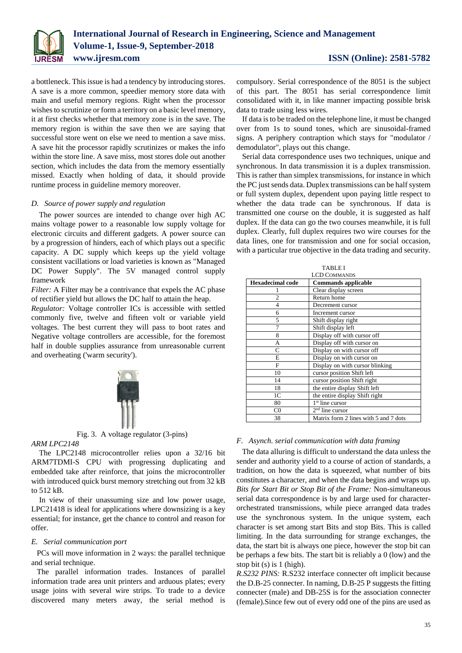

a bottleneck. This issue is had a tendency by introducing stores. A save is a more common, speedier memory store data with main and useful memory regions. Right when the processor wishes to scrutinize or form a territory on a basic level memory, it at first checks whether that memory zone is in the save. The memory region is within the save then we are saying that successful store went on else we need to mention a save miss. A save hit the processor rapidly scrutinizes or makes the info within the store line. A save miss, most stores dole out another section, which includes the data from the memory essentially missed. Exactly when holding of data, it should provide runtime process in guideline memory moreover.

#### *D. Source of power supply and regulation*

The power sources are intended to change over high AC mains voltage power to a reasonable low supply voltage for electronic circuits and different gadgets. A power source can by a progression of hinders, each of which plays out a specific capacity. A DC supply which keeps up the yield voltage consistent vacillations or load varieties is known as "Managed DC Power Supply". The 5V managed control supply framework

*Filter:* A Filter may be a contrivance that expels the AC phase of rectifier yield but allows the DC half to attain the heap.

*Regulator:* Voltage controller ICs is accessible with settled commonly five, twelve and fifteen volt or variable yield voltages. The best current they will pass to boot rates and Negative voltage controllers are accessible, for the foremost half in double supplies assurance from unreasonable current and overheating ('warm security').





# *ARM LPC2148*

The LPC2148 microcontroller relies upon a 32/16 bit ARM7TDMI-S CPU with progressing duplicating and embedded take after reinforce, that joins the microcontroller with introduced quick burst memory stretching out from 32 kB to 512 kB.

In view of their unassuming size and low power usage, LPC21418 is ideal for applications where downsizing is a key essential; for instance, get the chance to control and reason for offer.

# *E. Serial communication port*

PCs will move information in 2 ways: the parallel technique and serial technique.

The parallel information trades. Instances of parallel information trade area unit printers and arduous plates; every usage joins with several wire strips. To trade to a device discovered many meters away, the serial method is compulsory. Serial correspondence of the 8051 is the subject of this part. The 8051 has serial correspondence limit consolidated with it, in like manner impacting possible brisk data to trade using less wires.

If data is to be traded on the telephone line, it must be changed over from 1s to sound tones, which are sinusoidal-framed signs. A periphery contraption which stays for "modulator / demodulator", plays out this change.

Serial data correspondence uses two techniques, unique and synchronous. In data transmission it is a duplex transmission. This is rather than simplex transmissions, for instance in which the PC just sends data. Duplex transmissions can be half system or full system duplex, dependent upon paying little respect to whether the data trade can be synchronous. If data is transmitted one course on the double, it is suggested as half duplex. If the data can go the two courses meanwhile, it is full duplex. Clearly, full duplex requires two wire courses for the data lines, one for transmission and one for social occasion, with a particular true objective in the data trading and security.

| <b>TABLE I</b>          |                                       |
|-------------------------|---------------------------------------|
| <b>LCD COMMANDS</b>     |                                       |
| <b>Hexadecimal code</b> | <b>Commands applicable</b>            |
|                         | Clear display screen                  |
| 2                       | Return home                           |
| 4                       | Decrement cursor                      |
| 6                       | Increment cursor                      |
| 5                       | Shift display right                   |
| 7                       | Shift display left                    |
| 8                       | Display off with cursor off           |
| A                       | Display off with cursor on            |
| C                       | Display on with cursor off            |
| E                       | Display on with cursor on             |
| F                       | Display on with cursor blinking       |
| 10                      | cursor position Shift left            |
| 14                      | cursor position Shift right           |
| 18                      | the entire display Shift left         |
| 1 <sup>C</sup>          | the entire display Shift right        |
| 80                      | 1 <sup>st</sup> line cursor           |
| $_{\rm C0}$             | $2nd$ line cursor                     |
| 38                      | Matrix form 2 lines with 5 and 7 dots |

# *F. Asynch. serial communication with data framing*

The data alluring is difficult to understand the data unless the sender and authority yield to a course of action of standards, a tradition, on how the data is squeezed, what number of bits constitutes a character, and when the data begins and wraps up. *Bits for Start Bit or Stop Bit of the Frame:* Non-simultaneous serial data correspondence is by and large used for characterorchestrated transmissions, while piece arranged data trades use the synchronous system. In the unique system, each character is set among start Bits and stop Bits. This is called limiting. In the data surrounding for strange exchanges, the data, the start bit is always one piece, however the stop bit can be perhaps a few bits. The start bit is reliably a 0 (low) and the stop bit (s) is 1 (high).

*R.S232 PINS:* R.S232 interface connecter oft implicit because the D.B-25 connecter. In naming, D.B-25 P suggests the fitting connecter (male) and DB-25S is for the association connecter (female).Since few out of every odd one of the pins are used as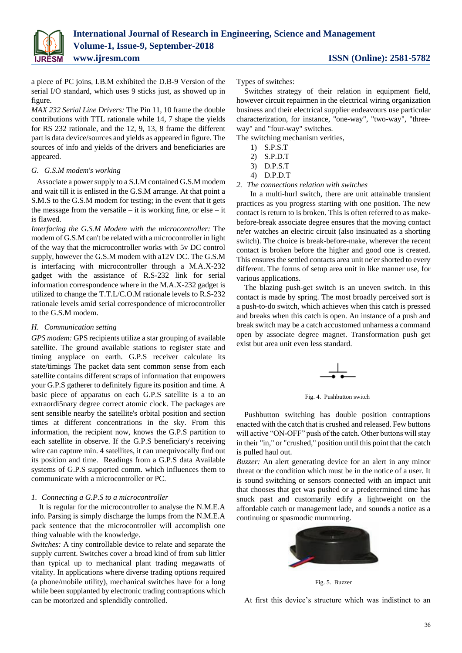

a piece of PC joins, I.B.M exhibited the D.B-9 Version of the serial I/O standard, which uses 9 sticks just, as showed up in figure.

*MAX 232 Serial Line Drivers:* The Pin 11, 10 frame the double contributions with TTL rationale while 14, 7 shape the yields for RS 232 rationale, and the 12, 9, 13, 8 frame the different part is data device/sources and yields as appeared in figure. The sources of info and yields of the drivers and beneficiaries are appeared.

# *G. G.S.M modem's working*

Associate a power supply to a S.I.M contained G.S.M modem and wait till it is enlisted in the G.S.M arrange. At that point a S.M.S to the G.S.M modem for testing; in the event that it gets the message from the versatile – it is working fine, or else – it is flawed.

*Interfacing the G.S.M Modem with the microcontroller:* The modem of G.S.M can't be related with a microcontroller in light of the way that the microcontroller works with 5v DC control supply, however the G.S.M modem with a12V DC. The G.S.M is interfacing with microcontroller through a M.A.X-232 gadget with the assistance of R.S-232 link for serial information correspondence where in the M.A.X-232 gadget is utilized to change the T.T.L/C.O.M rationale levels to R.S-232 rationale levels amid serial correspondence of microcontroller to the G.S.M modem.

# *H. Communication setting*

*GPS modem:* GPS recipients utilize a star grouping of available satellite. The ground available stations to register state and timing anyplace on earth. G.P.S receiver calculate its state/timings The packet data sent common sense from each satellite contains different scraps of information that empowers your G.P.S gatherer to definitely figure its position and time. A basic piece of apparatus on each G.P.S satellite is a to an extraordi5nary degree correct atomic clock. The packages are sent sensible nearby the satellite's orbital position and section times at different concentrations in the sky. From this information, the recipient now, knows the G.P.S partition to each satellite in observe. If the G.P.S beneficiary's receiving wire can capture min. 4 satellites, it can unequivocally find out its position and time. Readings from a G.P.S data Available systems of G.P.S supported comm. which influences them to communicate with a microcontroller or PC.

# *1. Connecting a G.P.S to a microcontroller*

It is regular for the microcontroller to analyse the N.M.E.A info. Parsing is simply discharge the lumps from the N.M.E.A pack sentence that the microcontroller will accomplish one thing valuable with the knowledge.

*Switches:* A tiny controllable device to relate and separate the supply current. Switches cover a broad kind of from sub littler than typical up to mechanical plant trading megawatts of vitality. In applications where diverse trading options required (a phone/mobile utility), mechanical switches have for a long while been supplanted by electronic trading contraptions which can be motorized and splendidly controlled.

Types of switches:

Switches strategy of their relation in equipment field, however circuit repairmen in the electrical wiring organization business and their electrical supplier endeavours use particular characterization, for instance, "one-way", "two-way", "threeway" and "four-way" switches.

The switching mechanism verities,

- 1) S.P.S.T
- 2) S.P.D.T
- 3) D.P.S.T
- 4) D.P.D.T
- *2. The connections relation with switches*

 In a multi-hurl switch, there are unit attainable transient practices as you progress starting with one position. The new contact is return to is broken. This is often referred to as makebefore-break associate degree ensures that the moving contact ne'er watches an electric circuit (also insinuated as a shorting switch). The choice is break-before-make, wherever the recent contact is broken before the higher and good one is created. This ensures the settled contacts area unit ne'er shorted to every different. The forms of setup area unit in like manner use, for various applications.

The blazing push-get switch is an uneven switch. In this contact is made by spring. The most broadly perceived sort is a push-to-do switch, which achieves when this catch is pressed and breaks when this catch is open. An instance of a push and break switch may be a catch accustomed unharness a command open by associate degree magnet. Transformation push get exist but area unit even less standard.



Fig. 4. Pushbutton switch

Pushbutton switching has double position contraptions enacted with the catch that is crushed and released. Few buttons will active "ON-OFF" push of the catch. Other buttons will stay in their "in," or "crushed," position until this point that the catch is pulled haul out.

*Buzzer:* An alert generating device for an alert in any minor threat or the condition which must be in the notice of a user. It is sound switching or sensors connected with an impact unit that chooses that get was pushed or a predetermined time has snuck past and customarily edify a lightweight on the affordable catch or management lade, and sounds a notice as a continuing or spasmodic murmuring.



Fig. 5. Buzzer

At first this device's structure which was indistinct to an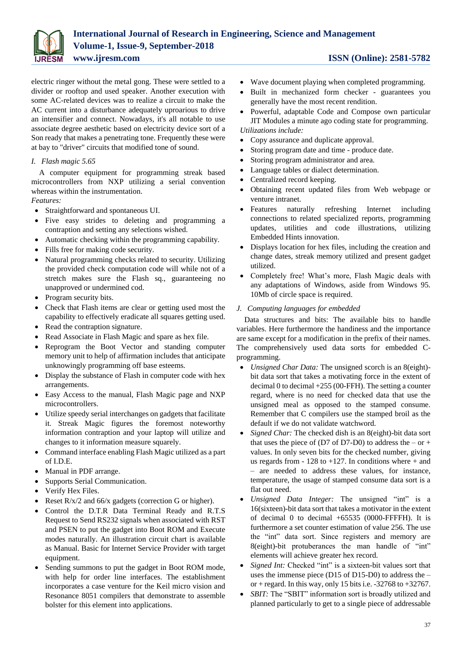

electric ringer without the metal gong. These were settled to a divider or rooftop and used speaker. Another execution with some AC-related devices was to realize a circuit to make the AC current into a disturbance adequately uproarious to drive an intensifier and connect. Nowadays, it's all notable to use associate degree aesthetic based on electricity device sort of a Son ready that makes a penetrating tone. Frequently these were at bay to "driver" circuits that modified tone of sound.

# *I. Flash magic 5.65*

A computer equipment for programming streak based microcontrollers from NXP utilizing a serial convention whereas within the instrumentation.

# *Features:*

- Straightforward and spontaneous UI.
- Five easy strides to deleting and programming a contraption and setting any selections wished.
- Automatic checking within the programming capability.
- Fills free for making code security.
- Natural programming checks related to security. Utilizing the provided check computation code will while not of a stretch makes sure the Flash sq., guaranteeing no unapproved or undermined cod.
- Program security bits.
- Check that Flash items are clear or getting used most the capability to effectively eradicate all squares getting used.
- Read the contraption signature.
- Read Associate in Flash Magic and spare as hex file.
- Reprogram the Boot Vector and standing computer memory unit to help of affirmation includes that anticipate unknowingly programming off base esteems.
- Display the substance of Flash in computer code with hex arrangements.
- Easy Access to the manual, Flash Magic page and NXP microcontrollers.
- Utilize speedy serial interchanges on gadgets that facilitate it. Streak Magic figures the foremost noteworthy information contraption and your laptop will utilize and changes to it information measure squarely.
- Command interface enabling Flash Magic utilized as a part of I.D.E.
- Manual in PDF arrange.
- Supports Serial Communication.
- Verify Hex Files.
- Reset  $R/x/2$  and 66/x gadgets (correction G or higher).
- Control the D.T.R Data Terminal Ready and R.T.S Request to Send RS232 signals when associated with RST and PSEN to put the gadget into Boot ROM and Execute modes naturally. An illustration circuit chart is available as Manual. Basic for Internet Service Provider with target equipment.
- Sending summons to put the gadget in Boot ROM mode, with help for order line interfaces. The establishment incorporates a case venture for the Keil micro vision and Resonance 8051 compilers that demonstrate to assemble bolster for this element into applications.

- Wave document playing when completed programming.
- Built in mechanized form checker guarantees you generally have the most recent rendition.
- Powerful, adaptable Code and Compose own particular JIT Modules a minute ago coding state for programming. *Utilizations include:*
- Copy assurance and duplicate approval.
- Storing program date and time produce date.
- Storing program administrator and area.
- Language tables or dialect determination.
- Centralized record keeping.
- Obtaining recent updated files from Web webpage or venture intranet.
- Features naturally refreshing Internet including connections to related specialized reports, programming updates, utilities and code illustrations, utilizing Embedded Hints innovation.
- Displays location for hex files, including the creation and change dates, streak memory utilized and present gadget utilized.
- Completely free! What's more, Flash Magic deals with any adaptations of Windows, aside from Windows 95. 10Mb of circle space is required.

# *J. Computing languages for embedded*

Data structures and bits: The available bits to handle variables. Here furthermore the handiness and the importance are same except for a modification in the prefix of their names. The comprehensively used data sorts for embedded Cprogramming.

- *Unsigned Char Data:* The unsigned scorch is an 8(eight) bit data sort that takes a motivating force in the extent of decimal 0 to decimal  $+255$  (00-FFH). The setting a counter regard, where is no need for checked data that use the unsigned meal as opposed to the stamped consume. Remember that C compilers use the stamped broil as the default if we do not validate watchword.
- *Signed Char:* The checked dish is an 8(eight)-bit data sort that uses the piece of (D7 of D7-D0) to address the – or + values. In only seven bits for the checked number, giving us regards from  $-128$  to  $+127$ . In conditions where  $+$  and – are needed to address these values, for instance, temperature, the usage of stamped consume data sort is a flat out need.
- *Unsigned Data Integer:* The unsigned "int" is a 16(sixteen)-bit data sort that takes a motivator in the extent of decimal 0 to decimal  $+65535$  (0000-FFFFH). It is furthermore a set counter estimation of value 256. The use the "int" data sort. Since registers and memory are 8(eight)-bit protuberances the man handle of "int" elements will achieve greater hex record.
- *Signed Int:* Checked "int" is a sixteen-bit values sort that uses the immense piece (D15 of D15-D0) to address the – or + regard. In this way, only 15 bits i.e.  $-32768$  to  $+32767$ .
- *SBIT:* The "SBIT" information sort is broadly utilized and planned particularly to get to a single piece of addressable